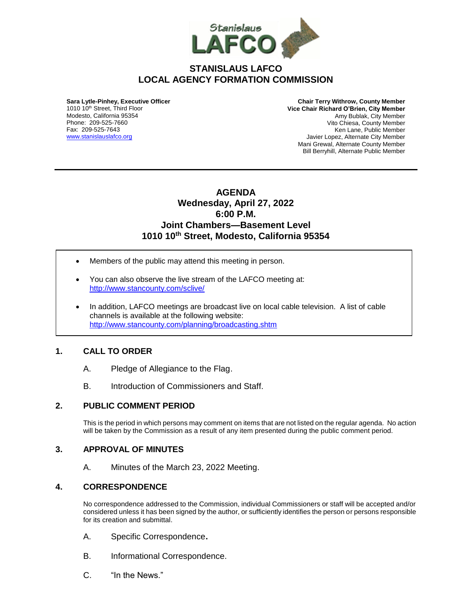

# **STANISLAUS LAFCO LOCAL AGENCY FORMATION COMMISSION**

**Sara Lytle-Pinhey, Executive Officer** 1010 10<sup>th</sup> Street, Third Floor Modesto, California 95354 Phone: 209-525-7660 Fax: 209-525-7643 [www.stanislauslafco.org](http://www.stanislauslafco.org/)

**Chair Terry Withrow, County Member Vice Chair Richard O'Brien, City Member**  Amy Bublak, City Member Vito Chiesa, County Member Ken Lane, Public Member Javier Lopez, Alternate City Member Mani Grewal, Alternate County Member Bill Berryhill, Alternate Public Member

# **AGENDA Wednesday, April 27, 2022 6:00 P.M. Joint Chambers—Basement Level 1010 10th Street, Modesto, California 95354**

- Members of the public may attend this meeting in person.
- You can also observe the live stream of the LAFCO meeting at: <http://www.stancounty.com/sclive/>
- In addition, LAFCO meetings are broadcast live on local cable television. A list of cable channels is available at the following website: <http://www.stancounty.com/planning/broadcasting.shtm>

#### **1. CALL TO ORDER**

- A. Pledge of Allegiance to the Flag.
- B. Introduction of Commissioners and Staff.

#### **2. PUBLIC COMMENT PERIOD**

This is the period in which persons may comment on items that are not listed on the regular agenda. No action will be taken by the Commission as a result of any item presented during the public comment period.

#### **3. APPROVAL OF MINUTES**

A. Minutes of the March 23, 2022 Meeting.

#### **4. CORRESPONDENCE**

No correspondence addressed to the Commission, individual Commissioners or staff will be accepted and/or considered unless it has been signed by the author, or sufficiently identifies the person or persons responsible for its creation and submittal.

- A. Specific Correspondence**.**
- B. Informational Correspondence.
- C. "In the News."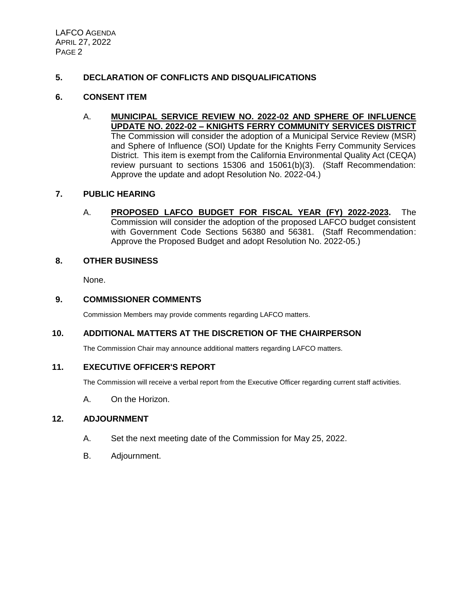# **5. DECLARATION OF CONFLICTS AND DISQUALIFICATIONS**

#### **6. CONSENT ITEM**

A. **MUNICIPAL SERVICE REVIEW NO. 2022-02 AND SPHERE OF INFLUENCE UPDATE NO. 2022-02 – KNIGHTS FERRY COMMUNITY SERVICES DISTRICT** The Commission will consider the adoption of a Municipal Service Review (MSR) and Sphere of Influence (SOI) Update for the Knights Ferry Community Services District. This item is exempt from the California Environmental Quality Act (CEQA) review pursuant to sections 15306 and 15061(b)(3). (Staff Recommendation: Approve the update and adopt Resolution No. 2022-04.)

## **7. PUBLIC HEARING**

A. **PROPOSED LAFCO BUDGET FOR FISCAL YEAR (FY) 2022-2023.** The Commission will consider the adoption of the proposed LAFCO budget consistent with Government Code Sections 56380 and 56381. (Staff Recommendation: Approve the Proposed Budget and adopt Resolution No. 2022-05.)

#### **8. OTHER BUSINESS**

None.

## **9. COMMISSIONER COMMENTS**

Commission Members may provide comments regarding LAFCO matters.

# **10. ADDITIONAL MATTERS AT THE DISCRETION OF THE CHAIRPERSON**

The Commission Chair may announce additional matters regarding LAFCO matters.

#### **11. EXECUTIVE OFFICER'S REPORT**

The Commission will receive a verbal report from the Executive Officer regarding current staff activities.

A. On the Horizon.

#### **12. ADJOURNMENT**

- A. Set the next meeting date of the Commission for May 25, 2022.
- B. Adjournment.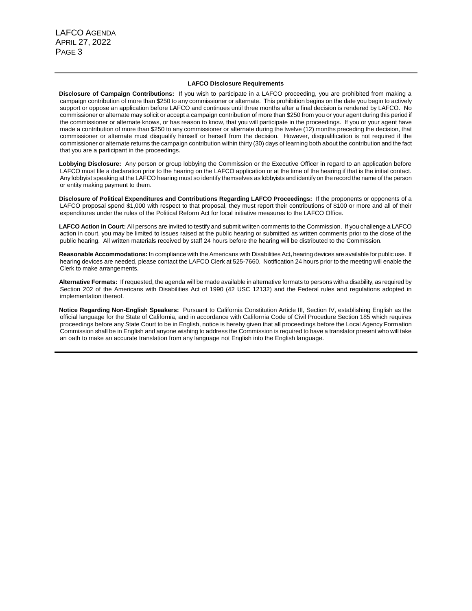#### **LAFCO Disclosure Requirements**

**Disclosure of Campaign Contributions:** If you wish to participate in a LAFCO proceeding, you are prohibited from making a campaign contribution of more than \$250 to any commissioner or alternate. This prohibition begins on the date you begin to actively support or oppose an application before LAFCO and continues until three months after a final decision is rendered by LAFCO. No commissioner or alternate may solicit or accept a campaign contribution of more than \$250 from you or your agent during this period if the commissioner or alternate knows, or has reason to know, that you will participate in the proceedings. If you or your agent have made a contribution of more than \$250 to any commissioner or alternate during the twelve (12) months preceding the decision, that commissioner or alternate must disqualify himself or herself from the decision. However, disqualification is not required if the commissioner or alternate returns the campaign contribution within thirty (30) days of learning both about the contribution and the fact that you are a participant in the proceedings.

**Lobbying Disclosure:** Any person or group lobbying the Commission or the Executive Officer in regard to an application before LAFCO must file a declaration prior to the hearing on the LAFCO application or at the time of the hearing if that is the initial contact. Any lobbyist speaking at the LAFCO hearing must so identify themselves as lobbyists and identify on the record the name of the person or entity making payment to them.

**Disclosure of Political Expenditures and Contributions Regarding LAFCO Proceedings:** If the proponents or opponents of a LAFCO proposal spend \$1,000 with respect to that proposal, they must report their contributions of \$100 or more and all of their expenditures under the rules of the Political Reform Act for local initiative measures to the LAFCO Office.

**LAFCO Action in Court:** All persons are invited to testify and submit written comments to the Commission. If you challenge a LAFCO action in court, you may be limited to issues raised at the public hearing or submitted as written comments prior to the close of the public hearing. All written materials received by staff 24 hours before the hearing will be distributed to the Commission.

**Reasonable Accommodations:** In compliance with the Americans with Disabilities Act**,** hearing devices are available for public use. If hearing devices are needed, please contact the LAFCO Clerk at 525-7660. Notification 24 hours prior to the meeting will enable the Clerk to make arrangements.

**Alternative Formats:** If requested, the agenda will be made available in alternative formats to persons with a disability, as required by Section 202 of the Americans with Disabilities Act of 1990 (42 USC 12132) and the Federal rules and regulations adopted in implementation thereof.

**Notice Regarding Non-English Speakers:** Pursuant to California Constitution Article III, Section IV, establishing English as the official language for the State of California, and in accordance with California Code of Civil Procedure Section 185 which requires proceedings before any State Court to be in English, notice is hereby given that all proceedings before the Local Agency Formation Commission shall be in English and anyone wishing to address the Commission is required to have a translator present who will take an oath to make an accurate translation from any language not English into the English language.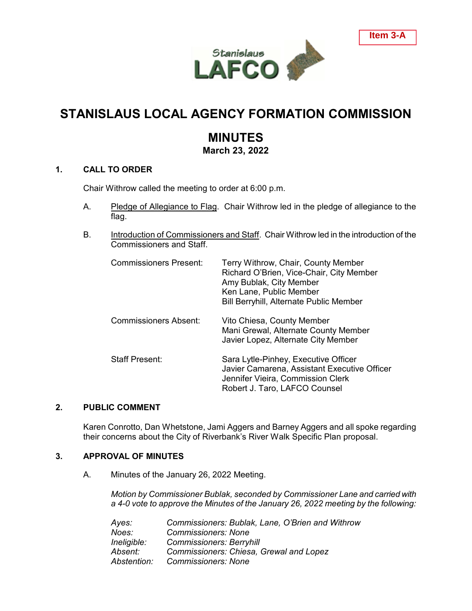

# **STANISLAUS LOCAL AGENCY FORMATION COMMISSION**

# **MINUTES**

**March 23, 2022**

## **1. CALL TO ORDER**

Chair Withrow called the meeting to order at 6:00 p.m.

- A. Pledge of Allegiance to Flag. Chair Withrow led in the pledge of allegiance to the flag.
- B. Introduction of Commissioners and Staff. Chair Withrow led in the introduction of the Commissioners and Staff.

| <b>Commissioners Present:</b> | Terry Withrow, Chair, County Member<br>Richard O'Brien, Vice-Chair, City Member<br>Amy Bublak, City Member<br>Ken Lane, Public Member<br><b>Bill Berryhill, Alternate Public Member</b> |
|-------------------------------|-----------------------------------------------------------------------------------------------------------------------------------------------------------------------------------------|
| <b>Commissioners Absent:</b>  | Vito Chiesa, County Member<br>Mani Grewal, Alternate County Member<br>Javier Lopez, Alternate City Member                                                                               |
| <b>Staff Present:</b>         | Sara Lytle-Pinhey, Executive Officer<br>Javier Camarena, Assistant Executive Officer<br>Jennifer Vieira, Commission Clerk<br>Robert J. Taro, LAFCO Counsel                              |

# **2. PUBLIC COMMENT**

Karen Conrotto, Dan Whetstone, Jami Aggers and Barney Aggers and all spoke regarding their concerns about the City of Riverbank's River Walk Specific Plan proposal.

#### **3. APPROVAL OF MINUTES**

A. Minutes of the January 26, 2022 Meeting.

*Motion by Commissioner Bublak, seconded by Commissioner Lane and carried with a 4-0 vote to approve the Minutes of the January 26, 2022 meeting by the following:*

| Ayes:       | Commissioners: Bublak, Lane, O'Brien and Withrow |
|-------------|--------------------------------------------------|
| Noes:       | <b>Commissioners: None</b>                       |
| Ineligible: | <b>Commissioners: Berryhill</b>                  |
| Absent:     | Commissioners: Chiesa, Grewal and Lopez          |
| Abstention: | <b>Commissioners: None</b>                       |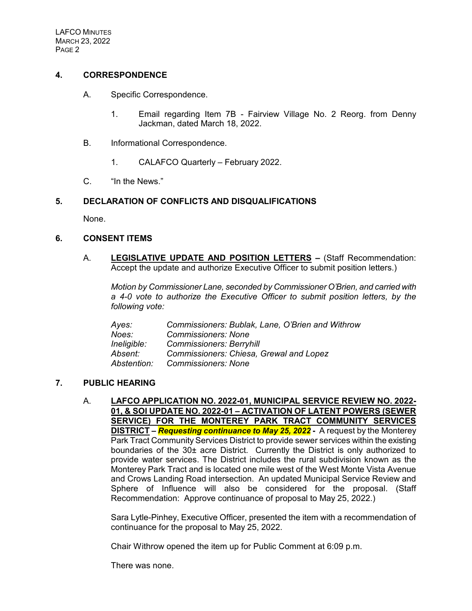# **4. CORRESPONDENCE**

- A. Specific Correspondence.
	- 1. Email regarding Item 7B Fairview Village No. 2 Reorg. from Denny Jackman, dated March 18, 2022.
- B. Informational Correspondence.
	- 1. CALAFCO Quarterly February 2022.
- C. "In the News."

# **5. DECLARATION OF CONFLICTS AND DISQUALIFICATIONS**

None.

## **6. CONSENT ITEMS**

A. **LEGISLATIVE UPDATE AND POSITION LETTERS –** (Staff Recommendation: Accept the update and authorize Executive Officer to submit position letters.)

*Motion by Commissioner Lane, seconded by Commissioner O'Brien, and carried with a 4-0 vote to authorize the Executive Officer to submit position letters, by the following vote:*

| Ayes:       | Commissioners: Bublak, Lane, O'Brien and Withrow |
|-------------|--------------------------------------------------|
| Noes:       | <b>Commissioners: None</b>                       |
| Ineligible: | <b>Commissioners: Berryhill</b>                  |
| Absent:     | Commissioners: Chiesa, Grewal and Lopez          |
| Abstention: | <b>Commissioners: None</b>                       |

# **7. PUBLIC HEARING**

A. **LAFCO APPLICATION NO. 2022-01, MUNICIPAL SERVICE REVIEW NO. 2022- 01, & SOI UPDATE NO. 2022-01 – ACTIVATION OF LATENT POWERS (SEWER SERVICE) FOR THE MONTEREY PARK TRACT COMMUNITY SERVICES DISTRICT –** *Requesting continuance to May 25, 2022* **-** A request by the Monterey Park Tract Community Services District to provide sewer services within the existing boundaries of the 30± acre District. Currently the District is only authorized to provide water services. The District includes the rural subdivision known as the Monterey Park Tract and is located one mile west of the West Monte Vista Avenue and Crows Landing Road intersection. An updated Municipal Service Review and Sphere of Influence will also be considered for the proposal. (Staff Recommendation: Approve continuance of proposal to May 25, 2022.)

Sara Lytle-Pinhey, Executive Officer, presented the item with a recommendation of continuance for the proposal to May 25, 2022.

Chair Withrow opened the item up for Public Comment at 6:09 p.m.

There was none.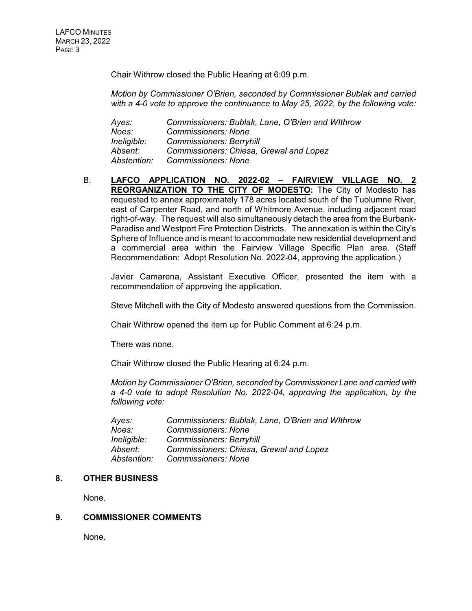Chair Withrow closed the Public Hearing at 6:09 p.m.

*Motion by Commissioner O'Brien, seconded by Commissioner Bublak and carried with a 4-0 vote to approve the continuance to May 25, 2022, by the following vote:*

*Ayes: Commissioners: Bublak, Lane, O'Brien and WIthrow Noes: Commissioners: None Ineligible: Commissioners: Berryhill Absent: Commissioners: Chiesa, Grewal and Lopez Abstention: Commissioners: None*

B. **LAFCO APPLICATION NO. 2022-02 – FAIRVIEW VILLAGE NO. 2 REORGANIZATION TO THE CITY OF MODESTO:** The City of Modesto has requested to annex approximately 178 acres located south of the Tuolumne River, east of Carpenter Road, and north of Whitmore Avenue, including adjacent road right-of-way. The request will also simultaneously detach the area from the Burbank-Paradise and Westport Fire Protection Districts. The annexation is within the City's Sphere of Influence and is meant to accommodate new residential development and a commercial area within the Fairview Village Specific Plan area. (Staff Recommendation: Adopt Resolution No. 2022-04, approving the application.)

Javier Camarena, Assistant Executive Officer, presented the item with a recommendation of approving the application.

Steve Mitchell with the City of Modesto answered questions from the Commission.

Chair Withrow opened the item up for Public Comment at 6:24 p.m.

There was none.

Chair Withrow closed the Public Hearing at 6:24 p.m.

*Motion by Commissioner O'Brien, seconded by Commissioner Lane and carried with a 4-0 vote to adopt Resolution No. 2022-04, approving the application, by the following vote:*

| Ayes:       | Commissioners: Bublak, Lane, O'Brien and Withrow |
|-------------|--------------------------------------------------|
| Noes:       | <b>Commissioners: None</b>                       |
| Ineligible: | <b>Commissioners: Berryhill</b>                  |
| Absent:     | Commissioners: Chiesa, Grewal and Lopez          |
| Abstention: | <b>Commissioners: None</b>                       |

#### **8. OTHER BUSINESS**

None.

#### **9. COMMISSIONER COMMENTS**

None.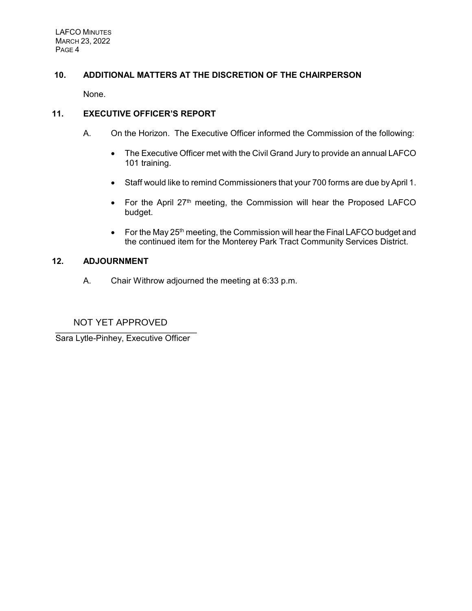# **10. ADDITIONAL MATTERS AT THE DISCRETION OF THE CHAIRPERSON**

None.

# **11. EXECUTIVE OFFICER'S REPORT**

- A. On the Horizon. The Executive Officer informed the Commission of the following:
	- The Executive Officer met with the Civil Grand Jury to provide an annual LAFCO 101 training.
	- Staff would like to remind Commissioners that your 700 forms are due by April 1.
	- For the April  $27<sup>th</sup>$  meeting, the Commission will hear the Proposed LAFCO budget.
	- For the May  $25<sup>th</sup>$  meeting, the Commission will hear the Final LAFCO budget and the continued item for the Monterey Park Tract Community Services District.

# **12. ADJOURNMENT**

A. Chair Withrow adjourned the meeting at 6:33 p.m.

#### $\overline{\phantom{a}}$ NOT YET APPROVED

Sara Lytle-Pinhey, Executive Officer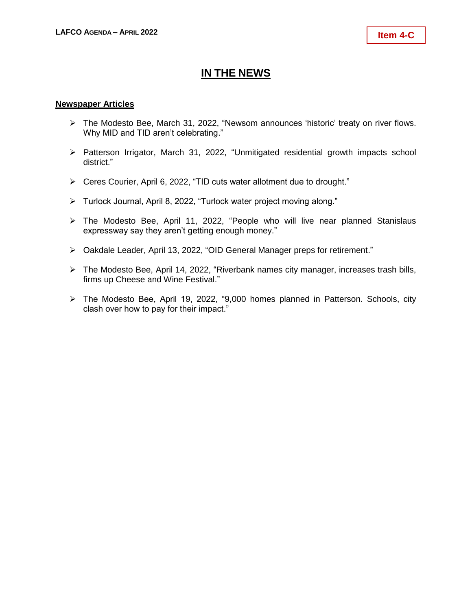# **IN THE NEWS**

### **Newspaper Articles**

- ➢ The Modesto Bee, March 31, 2022, "Newsom announces 'historic' treaty on river flows. Why MID and TID aren't celebrating."
- ➢ Patterson Irrigator, March 31, 2022, "Unmitigated residential growth impacts school district."
- ➢ Ceres Courier, April 6, 2022, "TID cuts water allotment due to drought."
- ➢ Turlock Journal, April 8, 2022, "Turlock water project moving along."
- ➢ The Modesto Bee, April 11, 2022, "People who will live near planned Stanislaus expressway say they aren't getting enough money."
- ➢ Oakdale Leader, April 13, 2022, "OID General Manager preps for retirement."
- ➢ The Modesto Bee, April 14, 2022, "Riverbank names city manager, increases trash bills, firms up Cheese and Wine Festival."
- ➢ The Modesto Bee, April 19, 2022, "9,000 homes planned in Patterson. Schools, city clash over how to pay for their impact."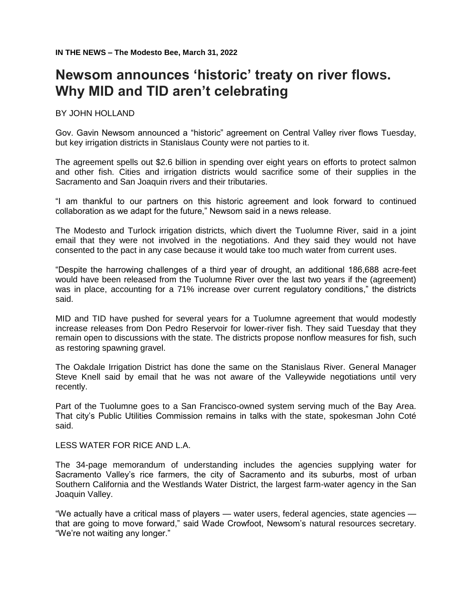# **Newsom announces 'historic' treaty on river flows. Why MID and TID aren't celebrating**

#### BY JOHN HOLLAND

Gov. Gavin Newsom announced a "historic" agreement on Central Valley river flows Tuesday, but key irrigation districts in Stanislaus County were not parties to it.

The agreement spells out \$2.6 billion in spending over eight years on efforts to protect salmon and other fish. Cities and irrigation districts would sacrifice some of their supplies in the Sacramento and San Joaquin rivers and their tributaries.

"I am thankful to our partners on this historic agreement and look forward to continued collaboration as we adapt for the future," Newsom said in a news release.

The Modesto and Turlock irrigation districts, which divert the Tuolumne River, said in a joint email that they were not involved in the negotiations. And they said they would not have consented to the pact in any case because it would take too much water from current uses.

"Despite the harrowing challenges of a third year of drought, an additional 186,688 acre-feet would have been released from the Tuolumne River over the last two years if the (agreement) was in place, accounting for a 71% increase over current regulatory conditions," the districts said.

MID and TID have pushed for several years for a Tuolumne agreement that would modestly increase releases from Don Pedro Reservoir for lower-river fish. They said Tuesday that they remain open to discussions with the state. The districts propose nonflow measures for fish, such as restoring spawning gravel.

The Oakdale Irrigation District has done the same on the Stanislaus River. General Manager Steve Knell said by email that he was not aware of the Valleywide negotiations until very recently.

Part of the Tuolumne goes to a San Francisco-owned system serving much of the Bay Area. That city's Public Utilities Commission remains in talks with the state, spokesman John Coté said.

LESS WATER FOR RICE AND L.A.

The 34-page memorandum of understanding includes the agencies supplying water for Sacramento Valley's rice farmers, the city of Sacramento and its suburbs, most of urban Southern California and the Westlands Water District, the largest farm-water agency in the San Joaquin Valley.

"We actually have a critical mass of players — water users, federal agencies, state agencies that are going to move forward," said Wade Crowfoot, Newsom's natural resources secretary. "We're not waiting any longer."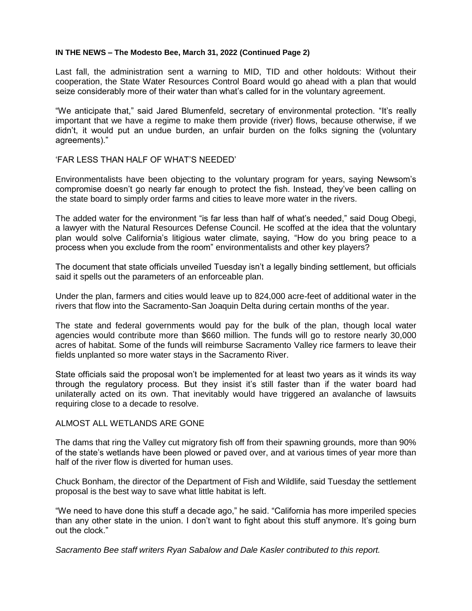#### **IN THE NEWS – The Modesto Bee, March 31, 2022 (Continued Page 2)**

Last fall, the administration sent a warning to MID, TID and other holdouts: Without their cooperation, the State Water Resources Control Board would go ahead with a plan that would seize considerably more of their water than what's called for in the voluntary agreement.

"We anticipate that," said Jared Blumenfeld, secretary of environmental protection. "It's really important that we have a regime to make them provide (river) flows, because otherwise, if we didn't, it would put an undue burden, an unfair burden on the folks signing the (voluntary agreements)."

#### 'FAR LESS THAN HALF OF WHAT'S NEEDED'

Environmentalists have been objecting to the voluntary program for years, saying Newsom's compromise doesn't go nearly far enough to protect the fish. Instead, they've been calling on the state board to simply order farms and cities to leave more water in the rivers.

The added water for the environment "is far less than half of what's needed," said Doug Obegi, a lawyer with the Natural Resources Defense Council. He scoffed at the idea that the voluntary plan would solve California's litigious water climate, saying, "How do you bring peace to a process when you exclude from the room" environmentalists and other key players?

The document that state officials unveiled Tuesday isn't a legally binding settlement, but officials said it spells out the parameters of an enforceable plan.

Under the plan, farmers and cities would leave up to 824,000 acre-feet of additional water in the rivers that flow into the Sacramento-San Joaquin Delta during certain months of the year.

The state and federal governments would pay for the bulk of the plan, though local water agencies would contribute more than \$660 million. The funds will go to restore nearly 30,000 acres of habitat. Some of the funds will reimburse Sacramento Valley rice farmers to leave their fields unplanted so more water stays in the Sacramento River.

State officials said the proposal won't be implemented for at least two years as it winds its way through the regulatory process. But they insist it's still faster than if the water board had unilaterally acted on its own. That inevitably would have triggered an avalanche of lawsuits requiring close to a decade to resolve.

#### ALMOST ALL WETLANDS ARE GONE

The dams that ring the Valley cut migratory fish off from their spawning grounds, more than 90% of the state's wetlands have been plowed or paved over, and at various times of year more than half of the river flow is diverted for human uses.

Chuck Bonham, the director of the Department of Fish and Wildlife, said Tuesday the settlement proposal is the best way to save what little habitat is left.

"We need to have done this stuff a decade ago," he said. "California has more imperiled species than any other state in the union. I don't want to fight about this stuff anymore. It's going burn out the clock."

*Sacramento Bee staff writers Ryan Sabalow and Dale Kasler contributed to this report.*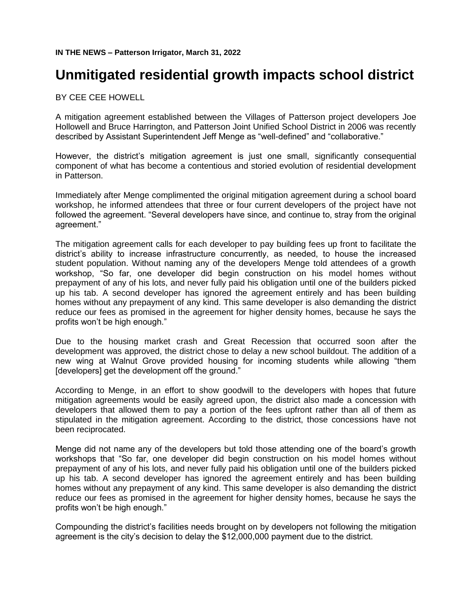# **Unmitigated residential growth impacts school district**

BY CEE CEE HOWELL

A mitigation agreement established between the Villages of Patterson project developers Joe Hollowell and Bruce Harrington, and Patterson Joint Unified School District in 2006 was recently described by Assistant Superintendent Jeff Menge as "well-defined" and "collaborative."

However, the district's mitigation agreement is just one small, significantly consequential component of what has become a contentious and storied evolution of residential development in Patterson.

Immediately after Menge complimented the original mitigation agreement during a school board workshop, he informed attendees that three or four current developers of the project have not followed the agreement. "Several developers have since, and continue to, stray from the original agreement."

The mitigation agreement calls for each developer to pay building fees up front to facilitate the district's ability to increase infrastructure concurrently, as needed, to house the increased student population. Without naming any of the developers Menge told attendees of a growth workshop, "So far, one developer did begin construction on his model homes without prepayment of any of his lots, and never fully paid his obligation until one of the builders picked up his tab. A second developer has ignored the agreement entirely and has been building homes without any prepayment of any kind. This same developer is also demanding the district reduce our fees as promised in the agreement for higher density homes, because he says the profits won't be high enough."

Due to the housing market crash and Great Recession that occurred soon after the development was approved, the district chose to delay a new school buildout. The addition of a new wing at Walnut Grove provided housing for incoming students while allowing "them [developers] get the development off the ground."

According to Menge, in an effort to show goodwill to the developers with hopes that future mitigation agreements would be easily agreed upon, the district also made a concession with developers that allowed them to pay a portion of the fees upfront rather than all of them as stipulated in the mitigation agreement. According to the district, those concessions have not been reciprocated.

Menge did not name any of the developers but told those attending one of the board's growth workshops that "So far, one developer did begin construction on his model homes without prepayment of any of his lots, and never fully paid his obligation until one of the builders picked up his tab. A second developer has ignored the agreement entirely and has been building homes without any prepayment of any kind. This same developer is also demanding the district reduce our fees as promised in the agreement for higher density homes, because he says the profits won't be high enough."

Compounding the district's facilities needs brought on by developers not following the mitigation agreement is the city's decision to delay the \$12,000,000 payment due to the district.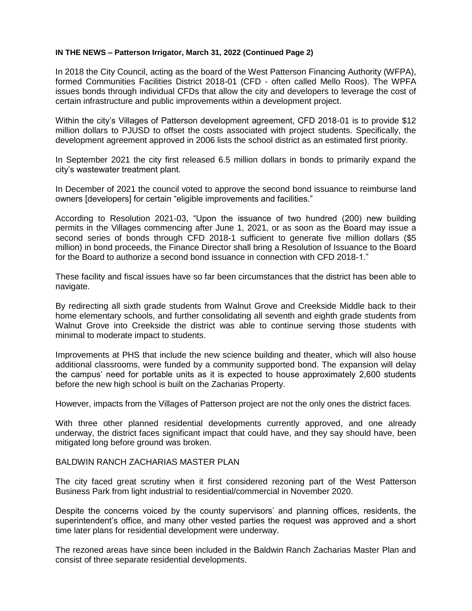#### **IN THE NEWS – Patterson Irrigator, March 31, 2022 (Continued Page 2)**

In 2018 the City Council, acting as the board of the West Patterson Financing Authority (WFPA), formed Communities Facilities District 2018-01 (CFD - often called Mello Roos). The WPFA issues bonds through individual CFDs that allow the city and developers to leverage the cost of certain infrastructure and public improvements within a development project.

Within the city's Villages of Patterson development agreement, CFD 2018-01 is to provide \$12 million dollars to PJUSD to offset the costs associated with project students. Specifically, the development agreement approved in 2006 lists the school district as an estimated first priority.

In September 2021 the city first released 6.5 million dollars in bonds to primarily expand the city's wastewater treatment plant.

In December of 2021 the council voted to approve the second bond issuance to reimburse land owners [developers] for certain "eligible improvements and facilities."

According to Resolution 2021-03, "Upon the issuance of two hundred (200) new building permits in the Villages commencing after June 1, 2021, or as soon as the Board may issue a second series of bonds through CFD 2018-1 sufficient to generate five million dollars (\$5 million) in bond proceeds, the Finance Director shall bring a Resolution of Issuance to the Board for the Board to authorize a second bond issuance in connection with CFD 2018-1."

These facility and fiscal issues have so far been circumstances that the district has been able to navigate.

By redirecting all sixth grade students from Walnut Grove and Creekside Middle back to their home elementary schools, and further consolidating all seventh and eighth grade students from Walnut Grove into Creekside the district was able to continue serving those students with minimal to moderate impact to students.

Improvements at PHS that include the new science building and theater, which will also house additional classrooms, were funded by a community supported bond. The expansion will delay the campus' need for portable units as it is expected to house approximately 2,600 students before the new high school is built on the Zacharias Property.

However, impacts from the Villages of Patterson project are not the only ones the district faces.

With three other planned residential developments currently approved, and one already underway, the district faces significant impact that could have, and they say should have, been mitigated long before ground was broken.

#### BALDWIN RANCH ZACHARIAS MASTER PLAN

The city faced great scrutiny when it first considered rezoning part of the West Patterson Business Park from light industrial to residential/commercial in November 2020.

Despite the concerns voiced by the county supervisors' and planning offices, residents, the superintendent's office, and many other vested parties the request was approved and a short time later plans for residential development were underway.

The rezoned areas have since been included in the Baldwin Ranch Zacharias Master Plan and consist of three separate residential developments.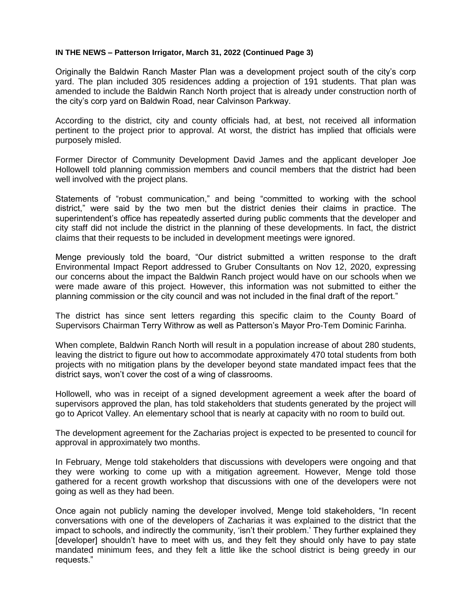#### **IN THE NEWS – Patterson Irrigator, March 31, 2022 (Continued Page 3)**

Originally the Baldwin Ranch Master Plan was a development project south of the city's corp yard. The plan included 305 residences adding a projection of 191 students. That plan was amended to include the Baldwin Ranch North project that is already under construction north of the city's corp yard on Baldwin Road, near Calvinson Parkway.

According to the district, city and county officials had, at best, not received all information pertinent to the project prior to approval. At worst, the district has implied that officials were purposely misled.

Former Director of Community Development David James and the applicant developer Joe Hollowell told planning commission members and council members that the district had been well involved with the project plans.

Statements of "robust communication," and being "committed to working with the school district," were said by the two men but the district denies their claims in practice. The superintendent's office has repeatedly asserted during public comments that the developer and city staff did not include the district in the planning of these developments. In fact, the district claims that their requests to be included in development meetings were ignored.

Menge previously told the board, "Our district submitted a written response to the draft Environmental Impact Report addressed to Gruber Consultants on Nov 12, 2020, expressing our concerns about the impact the Baldwin Ranch project would have on our schools when we were made aware of this project. However, this information was not submitted to either the planning commission or the city council and was not included in the final draft of the report."

The district has since sent letters regarding this specific claim to the County Board of Supervisors Chairman Terry Withrow as well as Patterson's Mayor Pro-Tem Dominic Farinha.

When complete, Baldwin Ranch North will result in a population increase of about 280 students, leaving the district to figure out how to accommodate approximately 470 total students from both projects with no mitigation plans by the developer beyond state mandated impact fees that the district says, won't cover the cost of a wing of classrooms.

Hollowell, who was in receipt of a signed development agreement a week after the board of supervisors approved the plan, has told stakeholders that students generated by the project will go to Apricot Valley. An elementary school that is nearly at capacity with no room to build out.

The development agreement for the Zacharias project is expected to be presented to council for approval in approximately two months.

In February, Menge told stakeholders that discussions with developers were ongoing and that they were working to come up with a mitigation agreement. However, Menge told those gathered for a recent growth workshop that discussions with one of the developers were not going as well as they had been.

Once again not publicly naming the developer involved, Menge told stakeholders, "In recent conversations with one of the developers of Zacharias it was explained to the district that the impact to schools, and indirectly the community, 'isn't their problem.' They further explained they [developer] shouldn't have to meet with us, and they felt they should only have to pay state mandated minimum fees, and they felt a little like the school district is being greedy in our requests."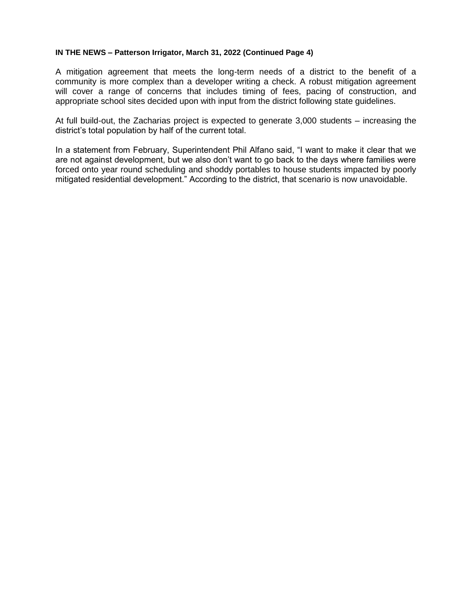#### **IN THE NEWS – Patterson Irrigator, March 31, 2022 (Continued Page 4)**

A mitigation agreement that meets the long-term needs of a district to the benefit of a community is more complex than a developer writing a check. A robust mitigation agreement will cover a range of concerns that includes timing of fees, pacing of construction, and appropriate school sites decided upon with input from the district following state guidelines.

At full build-out, the Zacharias project is expected to generate 3,000 students – increasing the district's total population by half of the current total.

In a statement from February, Superintendent Phil Alfano said, "I want to make it clear that we are not against development, but we also don't want to go back to the days where families were forced onto year round scheduling and shoddy portables to house students impacted by poorly mitigated residential development." According to the district, that scenario is now unavoidable.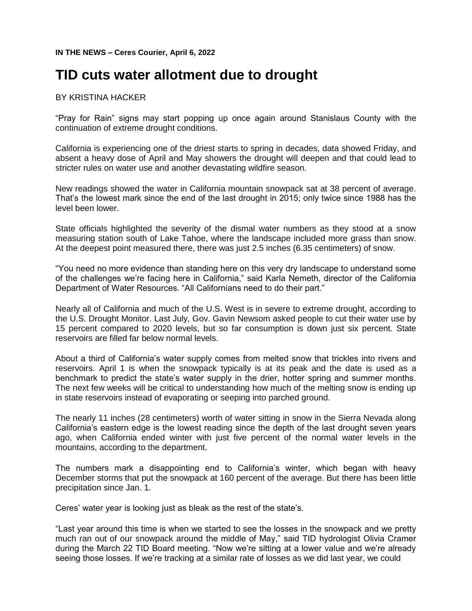# **TID cuts water allotment due to drought**

# BY KRISTINA HACKER

"Pray for Rain" signs may start popping up once again around Stanislaus County with the continuation of extreme drought conditions.

California is experiencing one of the driest starts to spring in decades, data showed Friday, and absent a heavy dose of April and May showers the drought will deepen and that could lead to stricter rules on water use and another devastating wildfire season.

New readings showed the water in California mountain snowpack sat at 38 percent of average. That's the lowest mark since the end of the last drought in 2015; only twice since 1988 has the level been lower.

State officials highlighted the severity of the dismal water numbers as they stood at a snow measuring station south of Lake Tahoe, where the landscape included more grass than snow. At the deepest point measured there, there was just 2.5 inches (6.35 centimeters) of snow.

"You need no more evidence than standing here on this very dry landscape to understand some of the challenges we're facing here in California," said Karla Nemeth, director of the California Department of Water Resources. "All Californians need to do their part."

Nearly all of California and much of the U.S. West is in severe to extreme drought, according to the U.S. Drought Monitor. Last July, Gov. Gavin Newsom asked people to cut their water use by 15 percent compared to 2020 levels, but so far consumption is down just six percent. State reservoirs are filled far below normal levels.

About a third of California's water supply comes from melted snow that trickles into rivers and reservoirs. April 1 is when the snowpack typically is at its peak and the date is used as a benchmark to predict the state's water supply in the drier, hotter spring and summer months. The next few weeks will be critical to understanding how much of the melting snow is ending up in state reservoirs instead of evaporating or seeping into parched ground.

The nearly 11 inches (28 centimeters) worth of water sitting in snow in the Sierra Nevada along California's eastern edge is the lowest reading since the depth of the last drought seven years ago, when California ended winter with just five percent of the normal water levels in the mountains, according to the department.

The numbers mark a disappointing end to California's winter, which began with heavy December storms that put the snowpack at 160 percent of the average. But there has been little precipitation since Jan. 1.

Ceres' water year is looking just as bleak as the rest of the state's.

"Last year around this time is when we started to see the losses in the snowpack and we pretty much ran out of our snowpack around the middle of May," said TID hydrologist Olivia Cramer during the March 22 TID Board meeting. "Now we're sitting at a lower value and we're already seeing those losses. If we're tracking at a similar rate of losses as we did last year, we could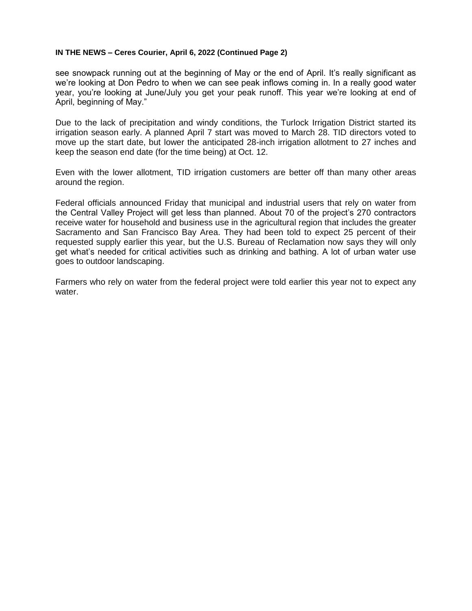#### **IN THE NEWS – Ceres Courier, April 6, 2022 (Continued Page 2)**

see snowpack running out at the beginning of May or the end of April. It's really significant as we're looking at Don Pedro to when we can see peak inflows coming in. In a really good water year, you're looking at June/July you get your peak runoff. This year we're looking at end of April, beginning of May."

Due to the lack of precipitation and windy conditions, the Turlock Irrigation District started its irrigation season early. A planned April 7 start was moved to March 28. TID directors voted to move up the start date, but lower the anticipated 28-inch irrigation allotment to 27 inches and keep the season end date (for the time being) at Oct. 12.

Even with the lower allotment, TID irrigation customers are better off than many other areas around the region.

Federal officials announced Friday that municipal and industrial users that rely on water from the Central Valley Project will get less than planned. About 70 of the project's 270 contractors receive water for household and business use in the agricultural region that includes the greater Sacramento and San Francisco Bay Area. They had been told to expect 25 percent of their requested supply earlier this year, but the U.S. Bureau of Reclamation now says they will only get what's needed for critical activities such as drinking and bathing. A lot of urban water use goes to outdoor landscaping.

Farmers who rely on water from the federal project were told earlier this year not to expect any water.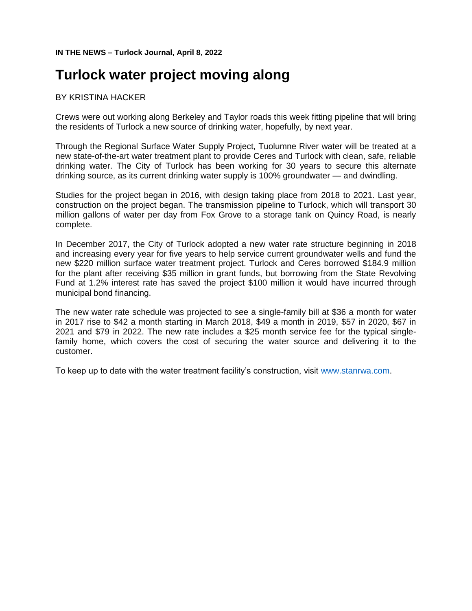**IN THE NEWS – Turlock Journal, April 8, 2022**

# **Turlock water project moving along**

# BY KRISTINA HACKER

Crews were out working along Berkeley and Taylor roads this week fitting pipeline that will bring the residents of Turlock a new source of drinking water, hopefully, by next year.

Through the Regional Surface Water Supply Project, Tuolumne River water will be treated at a new state-of-the-art water treatment plant to provide Ceres and Turlock with clean, safe, reliable drinking water. The City of Turlock has been working for 30 years to secure this alternate drinking source, as its current drinking water supply is 100% groundwater — and dwindling.

Studies for the project began in 2016, with design taking place from 2018 to 2021. Last year, construction on the project began. The transmission pipeline to Turlock, which will transport 30 million gallons of water per day from Fox Grove to a storage tank on Quincy Road, is nearly complete.

In December 2017, the City of Turlock adopted a new water rate structure beginning in 2018 and increasing every year for five years to help service current groundwater wells and fund the new \$220 million surface water treatment project. Turlock and Ceres borrowed \$184.9 million for the plant after receiving \$35 million in grant funds, but borrowing from the State Revolving Fund at 1.2% interest rate has saved the project \$100 million it would have incurred through municipal bond financing.

The new water rate schedule was projected to see a single-family bill at \$36 a month for water in 2017 rise to \$42 a month starting in March 2018, \$49 a month in 2019, \$57 in 2020, \$67 in 2021 and \$79 in 2022. The new rate includes a \$25 month service fee for the typical singlefamily home, which covers the cost of securing the water source and delivering it to the customer.

To keep up to date with the water treatment facility's construction, visit [www.stanrwa.com.](http://www.stanrwa.com/)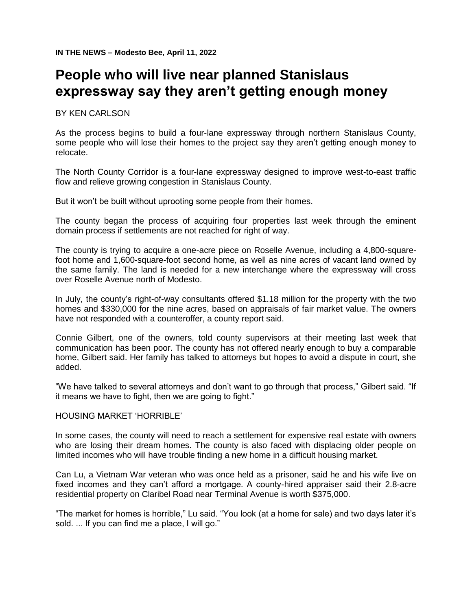# **People who will live near planned Stanislaus expressway say they aren't getting enough money**

BY KEN CARLSON

As the process begins to build a four-lane expressway through northern Stanislaus County, some people who will lose their homes to the project say they aren't getting enough money to relocate.

The North County Corridor is a four-lane expressway designed to improve west-to-east traffic flow and relieve growing congestion in Stanislaus County.

But it won't be built without uprooting some people from their homes.

The county began the process of acquiring four properties last week through the eminent domain process if settlements are not reached for right of way.

The county is trying to acquire a one-acre piece on Roselle Avenue, including a 4,800-squarefoot home and 1,600-square-foot second home, as well as nine acres of vacant land owned by the same family. The land is needed for a new interchange where the expressway will cross over Roselle Avenue north of Modesto.

In July, the county's right-of-way consultants offered \$1.18 million for the property with the two homes and \$330,000 for the nine acres, based on appraisals of fair market value. The owners have not responded with a counteroffer, a county report said.

Connie Gilbert, one of the owners, told county supervisors at their meeting last week that communication has been poor. The county has not offered nearly enough to buy a comparable home, Gilbert said. Her family has talked to attorneys but hopes to avoid a dispute in court, she added.

"We have talked to several attorneys and don't want to go through that process," Gilbert said. "If it means we have to fight, then we are going to fight."

#### HOUSING MARKET 'HORRIBLE'

In some cases, the county will need to reach a settlement for expensive real estate with owners who are losing their dream homes. The county is also faced with displacing older people on limited incomes who will have trouble finding a new home in a difficult housing market.

Can Lu, a Vietnam War veteran who was once held as a prisoner, said he and his wife live on fixed incomes and they can't afford a mortgage. A county-hired appraiser said their 2.8-acre residential property on Claribel Road near Terminal Avenue is worth \$375,000.

"The market for homes is horrible," Lu said. "You look (at a home for sale) and two days later it's sold. ... If you can find me a place, I will go."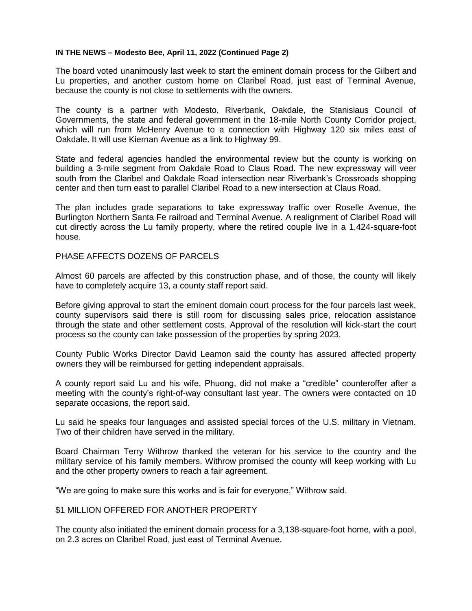#### **IN THE NEWS – Modesto Bee, April 11, 2022 (Continued Page 2)**

The board voted unanimously last week to start the eminent domain process for the Gilbert and Lu properties, and another custom home on Claribel Road, just east of Terminal Avenue, because the county is not close to settlements with the owners.

The county is a partner with Modesto, Riverbank, Oakdale, the Stanislaus Council of Governments, the state and federal government in the 18-mile North County Corridor project, which will run from McHenry Avenue to a connection with Highway 120 six miles east of Oakdale. It will use Kiernan Avenue as a link to Highway 99.

State and federal agencies handled the environmental review but the county is working on building a 3-mile segment from Oakdale Road to Claus Road. The new expressway will veer south from the Claribel and Oakdale Road intersection near Riverbank's Crossroads shopping center and then turn east to parallel Claribel Road to a new intersection at Claus Road.

The plan includes grade separations to take expressway traffic over Roselle Avenue, the Burlington Northern Santa Fe railroad and Terminal Avenue. A realignment of Claribel Road will cut directly across the Lu family property, where the retired couple live in a 1,424-square-foot house.

### PHASE AFFECTS DOZENS OF PARCELS

Almost 60 parcels are affected by this construction phase, and of those, the county will likely have to completely acquire 13, a county staff report said.

Before giving approval to start the eminent domain court process for the four parcels last week, county supervisors said there is still room for discussing sales price, relocation assistance through the state and other settlement costs. Approval of the resolution will kick-start the court process so the county can take possession of the properties by spring 2023.

County Public Works Director David Leamon said the county has assured affected property owners they will be reimbursed for getting independent appraisals.

A county report said Lu and his wife, Phuong, did not make a "credible" counteroffer after a meeting with the county's right-of-way consultant last year. The owners were contacted on 10 separate occasions, the report said.

Lu said he speaks four languages and assisted special forces of the U.S. military in Vietnam. Two of their children have served in the military.

Board Chairman Terry Withrow thanked the veteran for his service to the country and the military service of his family members. Withrow promised the county will keep working with Lu and the other property owners to reach a fair agreement.

"We are going to make sure this works and is fair for everyone," Withrow said.

## \$1 MILLION OFFERED FOR ANOTHER PROPERTY

The county also initiated the eminent domain process for a 3,138-square-foot home, with a pool, on 2.3 acres on Claribel Road, just east of Terminal Avenue.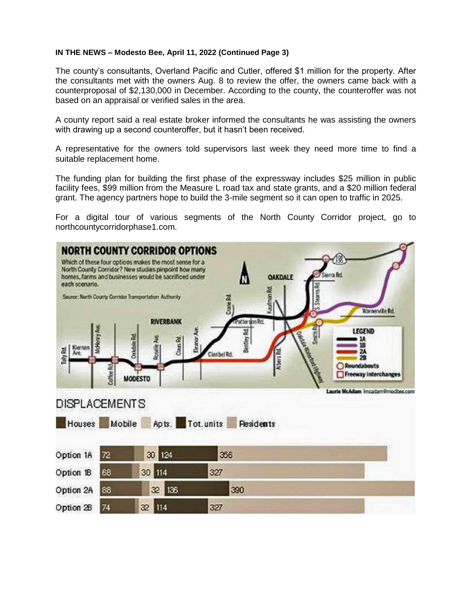### **IN THE NEWS – Modesto Bee, April 11, 2022 (Continued Page 3)**

The county's consultants, Overland Pacific and Cutler, offered \$1 million for the property. After the consultants met with the owners Aug. 8 to review the offer, the owners came back with a counterproposal of \$2,130,000 in December. According to the county, the counteroffer was not based on an appraisal or verified sales in the area.

A county report said a real estate broker informed the consultants he was assisting the owners with drawing up a second counteroffer, but it hasn't been received.

A representative for the owners told supervisors last week they need more time to find a suitable replacement home.

The funding plan for building the first phase of the expressway includes \$25 million in public facility fees, \$99 million from the Measure L road tax and state grants, and a \$20 million federal grant. The agency partners hope to build the 3-mile segment so it can open to traffic in 2025.

For a digital tour of various segments of the North County Corridor project, go to northcountycorridorphase1.com.

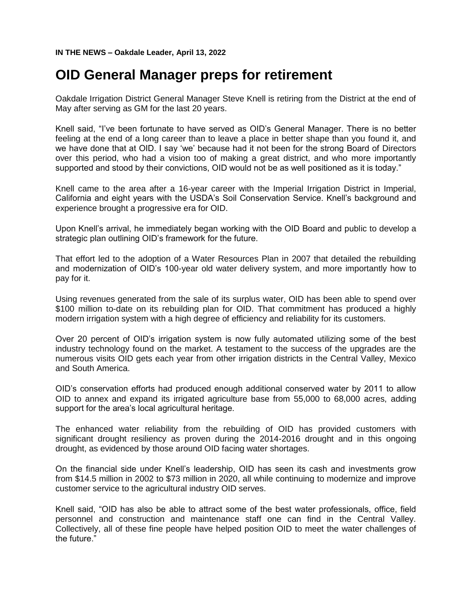# **OID General Manager preps for retirement**

Oakdale Irrigation District General Manager Steve Knell is retiring from the District at the end of May after serving as GM for the last 20 years.

Knell said, "I've been fortunate to have served as OID's General Manager. There is no better feeling at the end of a long career than to leave a place in better shape than you found it, and we have done that at OID. I say 'we' because had it not been for the strong Board of Directors over this period, who had a vision too of making a great district, and who more importantly supported and stood by their convictions, OID would not be as well positioned as it is today."

Knell came to the area after a 16-year career with the Imperial Irrigation District in Imperial, California and eight years with the USDA's Soil Conservation Service. Knell's background and experience brought a progressive era for OID.

Upon Knell's arrival, he immediately began working with the OID Board and public to develop a strategic plan outlining OID's framework for the future.

That effort led to the adoption of a Water Resources Plan in 2007 that detailed the rebuilding and modernization of OID's 100-year old water delivery system, and more importantly how to pay for it.

Using revenues generated from the sale of its surplus water, OID has been able to spend over \$100 million to-date on its rebuilding plan for OID. That commitment has produced a highly modern irrigation system with a high degree of efficiency and reliability for its customers.

Over 20 percent of OID's irrigation system is now fully automated utilizing some of the best industry technology found on the market. A testament to the success of the upgrades are the numerous visits OID gets each year from other irrigation districts in the Central Valley, Mexico and South America.

OID's conservation efforts had produced enough additional conserved water by 2011 to allow OID to annex and expand its irrigated agriculture base from 55,000 to 68,000 acres, adding support for the area's local agricultural heritage.

The enhanced water reliability from the rebuilding of OID has provided customers with significant drought resiliency as proven during the 2014-2016 drought and in this ongoing drought, as evidenced by those around OID facing water shortages.

On the financial side under Knell's leadership, OID has seen its cash and investments grow from \$14.5 million in 2002 to \$73 million in 2020, all while continuing to modernize and improve customer service to the agricultural industry OID serves.

Knell said, "OID has also be able to attract some of the best water professionals, office, field personnel and construction and maintenance staff one can find in the Central Valley. Collectively, all of these fine people have helped position OID to meet the water challenges of the future."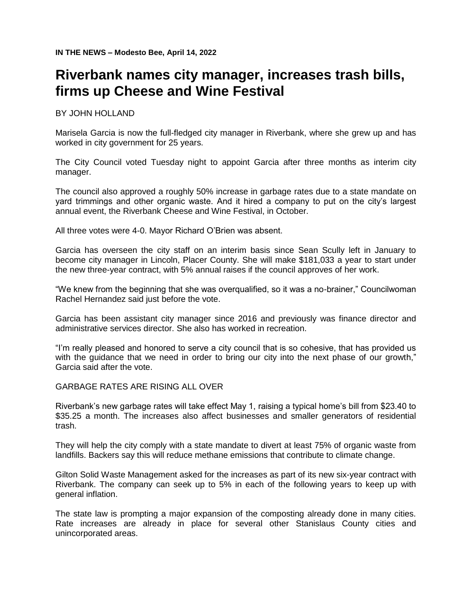# **Riverbank names city manager, increases trash bills, firms up Cheese and Wine Festival**

BY JOHN HOLLAND

Marisela Garcia is now the full-fledged city manager in Riverbank, where she grew up and has worked in city government for 25 years.

The City Council voted Tuesday night to appoint Garcia after three months as interim city manager.

The council also approved a roughly 50% increase in garbage rates due to a state mandate on yard trimmings and other organic waste. And it hired a company to put on the city's largest annual event, the Riverbank Cheese and Wine Festival, in October.

All three votes were 4-0. Mayor Richard O'Brien was absent.

Garcia has overseen the city staff on an interim basis since Sean Scully left in January to become city manager in Lincoln, Placer County. She will make \$181,033 a year to start under the new three-year contract, with 5% annual raises if the council approves of her work.

"We knew from the beginning that she was overqualified, so it was a no-brainer," Councilwoman Rachel Hernandez said just before the vote.

Garcia has been assistant city manager since 2016 and previously was finance director and administrative services director. She also has worked in recreation.

"I'm really pleased and honored to serve a city council that is so cohesive, that has provided us with the guidance that we need in order to bring our city into the next phase of our growth," Garcia said after the vote.

## GARBAGE RATES ARE RISING ALL OVER

Riverbank's new garbage rates will take effect May 1, raising a typical home's bill from \$23.40 to \$35.25 a month. The increases also affect businesses and smaller generators of residential trash.

They will help the city comply with a state mandate to divert at least 75% of organic waste from landfills. Backers say this will reduce methane emissions that contribute to climate change.

Gilton Solid Waste Management asked for the increases as part of its new six-year contract with Riverbank. The company can seek up to 5% in each of the following years to keep up with general inflation.

The state law is prompting a major expansion of the composting already done in many cities. Rate increases are already in place for several other Stanislaus County cities and unincorporated areas.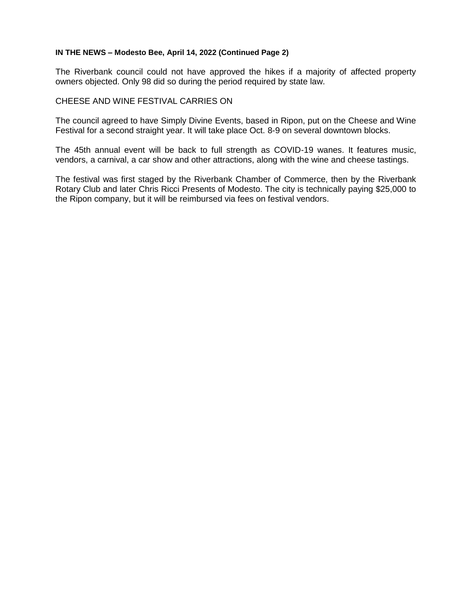# **IN THE NEWS – Modesto Bee, April 14, 2022 (Continued Page 2)**

The Riverbank council could not have approved the hikes if a majority of affected property owners objected. Only 98 did so during the period required by state law.

#### CHEESE AND WINE FESTIVAL CARRIES ON

The council agreed to have Simply Divine Events, based in Ripon, put on the Cheese and Wine Festival for a second straight year. It will take place Oct. 8-9 on several downtown blocks.

The 45th annual event will be back to full strength as COVID-19 wanes. It features music, vendors, a carnival, a car show and other attractions, along with the wine and cheese tastings.

The festival was first staged by the Riverbank Chamber of Commerce, then by the Riverbank Rotary Club and later Chris Ricci Presents of Modesto. The city is technically paying \$25,000 to the Ripon company, but it will be reimbursed via fees on festival vendors.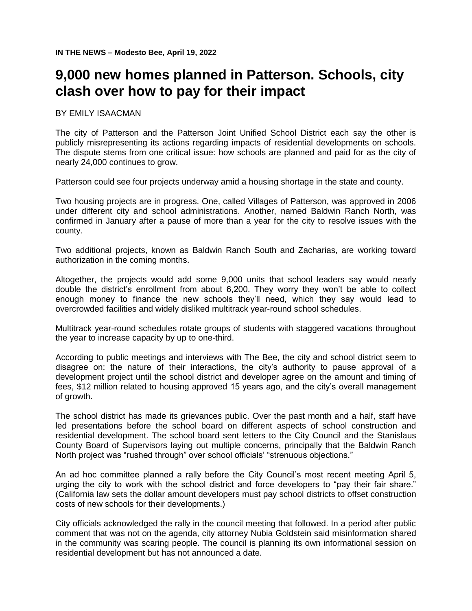# **9,000 new homes planned in Patterson. Schools, city clash over how to pay for their impact**

#### BY EMILY ISAACMAN

The city of Patterson and the Patterson Joint Unified School District each say the other is publicly misrepresenting its actions regarding impacts of residential developments on schools. The dispute stems from one critical issue: how schools are planned and paid for as the city of nearly 24,000 continues to grow.

Patterson could see four projects underway amid a housing shortage in the state and county.

Two housing projects are in progress. One, called Villages of Patterson, was approved in 2006 under different city and school administrations. Another, named Baldwin Ranch North, was confirmed in January after a pause of more than a year for the city to resolve issues with the county.

Two additional projects, known as Baldwin Ranch South and Zacharias, are working toward authorization in the coming months.

Altogether, the projects would add some 9,000 units that school leaders say would nearly double the district's enrollment from about 6,200. They worry they won't be able to collect enough money to finance the new schools they'll need, which they say would lead to overcrowded facilities and widely disliked multitrack year-round school schedules.

Multitrack year-round schedules rotate groups of students with staggered vacations throughout the year to increase capacity by up to one-third.

According to public meetings and interviews with The Bee, the city and school district seem to disagree on: the nature of their interactions, the city's authority to pause approval of a development project until the school district and developer agree on the amount and timing of fees, \$12 million related to housing approved 15 years ago, and the city's overall management of growth.

The school district has made its grievances public. Over the past month and a half, staff have led presentations before the school board on different aspects of school construction and residential development. The school board sent letters to the City Council and the Stanislaus County Board of Supervisors laying out multiple concerns, principally that the Baldwin Ranch North project was "rushed through" over school officials' "strenuous objections."

An ad hoc committee planned a rally before the City Council's most recent meeting April 5, urging the city to work with the school district and force developers to "pay their fair share." (California law sets the dollar amount developers must pay school districts to offset construction costs of new schools for their developments.)

City officials acknowledged the rally in the council meeting that followed. In a period after public comment that was not on the agenda, city attorney Nubia Goldstein said misinformation shared in the community was scaring people. The council is planning its own informational session on residential development but has not announced a date.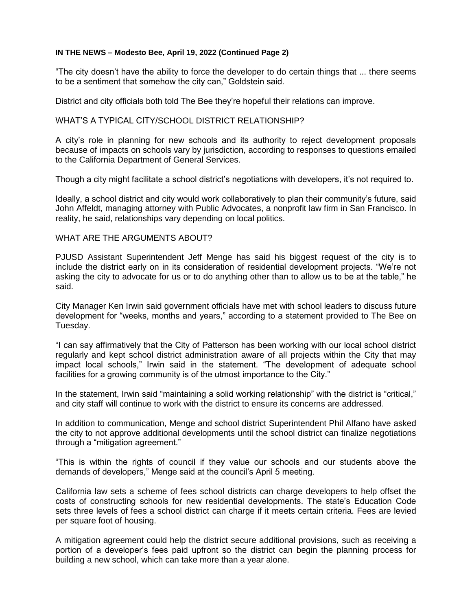#### **IN THE NEWS – Modesto Bee, April 19, 2022 (Continued Page 2)**

"The city doesn't have the ability to force the developer to do certain things that ... there seems to be a sentiment that somehow the city can," Goldstein said.

District and city officials both told The Bee they're hopeful their relations can improve.

#### WHAT'S A TYPICAL CITY/SCHOOL DISTRICT RELATIONSHIP?

A city's role in planning for new schools and its authority to reject development proposals because of impacts on schools vary by jurisdiction, according to responses to questions emailed to the California Department of General Services.

Though a city might facilitate a school district's negotiations with developers, it's not required to.

Ideally, a school district and city would work collaboratively to plan their community's future, said John Affeldt, managing attorney with Public Advocates, a nonprofit law firm in San Francisco. In reality, he said, relationships vary depending on local politics.

## WHAT ARE THE ARGUMENTS ABOUT?

PJUSD Assistant Superintendent Jeff Menge has said his biggest request of the city is to include the district early on in its consideration of residential development projects. "We're not asking the city to advocate for us or to do anything other than to allow us to be at the table," he said.

City Manager Ken Irwin said government officials have met with school leaders to discuss future development for "weeks, months and years," according to a statement provided to The Bee on Tuesday.

"I can say affirmatively that the City of Patterson has been working with our local school district regularly and kept school district administration aware of all projects within the City that may impact local schools," Irwin said in the statement. "The development of adequate school facilities for a growing community is of the utmost importance to the City."

In the statement, Irwin said "maintaining a solid working relationship" with the district is "critical," and city staff will continue to work with the district to ensure its concerns are addressed.

In addition to communication, Menge and school district Superintendent Phil Alfano have asked the city to not approve additional developments until the school district can finalize negotiations through a "mitigation agreement."

"This is within the rights of council if they value our schools and our students above the demands of developers," Menge said at the council's April 5 meeting.

California law sets a scheme of fees school districts can charge developers to help offset the costs of constructing schools for new residential developments. The state's Education Code sets three levels of fees a school district can charge if it meets certain criteria. Fees are levied per square foot of housing.

A mitigation agreement could help the district secure additional provisions, such as receiving a portion of a developer's fees paid upfront so the district can begin the planning process for building a new school, which can take more than a year alone.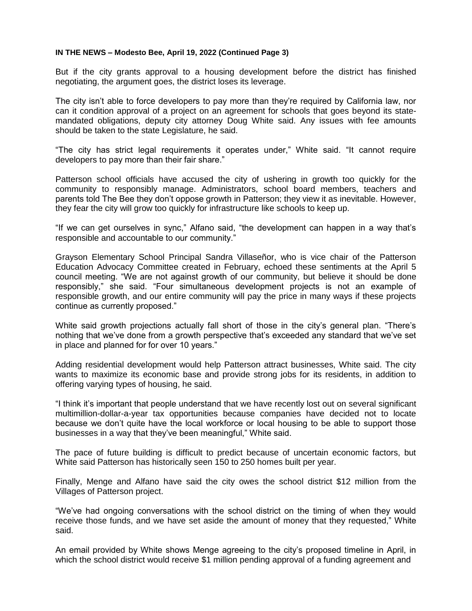#### **IN THE NEWS – Modesto Bee, April 19, 2022 (Continued Page 3)**

But if the city grants approval to a housing development before the district has finished negotiating, the argument goes, the district loses its leverage.

The city isn't able to force developers to pay more than they're required by California law, nor can it condition approval of a project on an agreement for schools that goes beyond its statemandated obligations, deputy city attorney Doug White said. Any issues with fee amounts should be taken to the state Legislature, he said.

"The city has strict legal requirements it operates under," White said. "It cannot require developers to pay more than their fair share."

Patterson school officials have accused the city of ushering in growth too quickly for the community to responsibly manage. Administrators, school board members, teachers and parents told The Bee they don't oppose growth in Patterson; they view it as inevitable. However, they fear the city will grow too quickly for infrastructure like schools to keep up.

"If we can get ourselves in sync," Alfano said, "the development can happen in a way that's responsible and accountable to our community."

Grayson Elementary School Principal Sandra Villaseñor, who is vice chair of the Patterson Education Advocacy Committee created in February, echoed these sentiments at the April 5 council meeting. "We are not against growth of our community, but believe it should be done responsibly," she said. "Four simultaneous development projects is not an example of responsible growth, and our entire community will pay the price in many ways if these projects continue as currently proposed."

White said growth projections actually fall short of those in the city's general plan. "There's nothing that we've done from a growth perspective that's exceeded any standard that we've set in place and planned for for over 10 years."

Adding residential development would help Patterson attract businesses, White said. The city wants to maximize its economic base and provide strong jobs for its residents, in addition to offering varying types of housing, he said.

"I think it's important that people understand that we have recently lost out on several significant multimillion-dollar-a-year tax opportunities because companies have decided not to locate because we don't quite have the local workforce or local housing to be able to support those businesses in a way that they've been meaningful," White said.

The pace of future building is difficult to predict because of uncertain economic factors, but White said Patterson has historically seen 150 to 250 homes built per year.

Finally, Menge and Alfano have said the city owes the school district \$12 million from the Villages of Patterson project.

"We've had ongoing conversations with the school district on the timing of when they would receive those funds, and we have set aside the amount of money that they requested," White said.

An email provided by White shows Menge agreeing to the city's proposed timeline in April, in which the school district would receive \$1 million pending approval of a funding agreement and